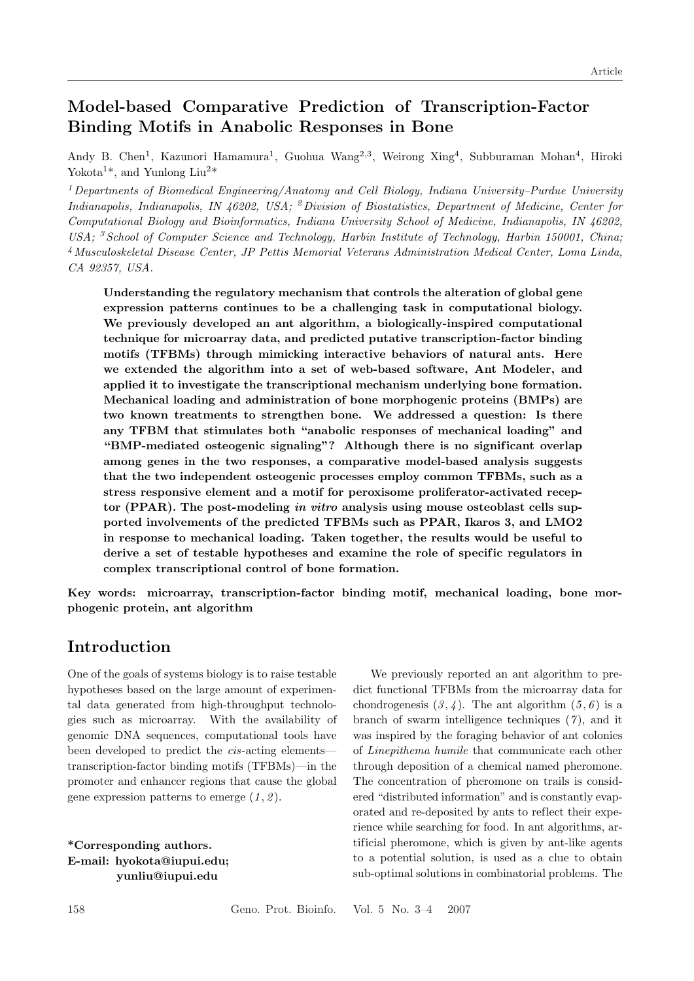# **Model-based Comparative Prediction of Transcription-Factor Binding Motifs in Anabolic Responses in Bone**

Andy B. Chen<sup>1</sup>, Kazunori Hamamura<sup>1</sup>, Guohua Wang<sup>2,3</sup>, Weirong Xing<sup>4</sup>, Subburaman Mohan<sup>4</sup>, Hiroki Yokota<sup>1\*</sup>, and Yunlong Liu<sup>2\*</sup>

<sup>1</sup>*Departments of Biomedical Engineering/Anatomy and Cell Biology, Indiana University–Purdue University Indianapolis, Indianapolis, IN 46202, USA;* <sup>2</sup>*Division of Biostatistics, Department of Medicine, Center for Computational Biology and Bioinformatics, Indiana University School of Medicine, Indianapolis, IN 46202, USA;* <sup>3</sup> *School of Computer Science and Technology, Harbin Institute of Technology, Harbin 150001, China;* <sup>4</sup>*Musculoskeletal Disease Center, JP Pettis Memorial Veterans Administration Medical Center, Loma Linda, CA 92357, USA.*

**Understanding the regulatory mechanism that controls the alteration of global gene expression patterns continues to be a challenging task in computational biology. We previously developed an ant algorithm, a biologically-inspired computational technique for microarray data, and predicted putative transcription-factor binding motifs (TFBMs) through mimicking interactive behaviors of natural ants. Here we extended the algorithm into a set of web-based software, Ant Modeler, and applied it to investigate the transcriptional mechanism underlying bone formation. Mechanical loading and administration of bone morphogenic proteins (BMPs) are two known treatments to strengthen bone. We addressed a question: Is there any TFBM that stimulates both "anabolic responses of mechanical loading" and "BMP-mediated osteogenic signaling"? Although there is no signif icant overlap among genes in the two responses, a comparative model-based analysis suggests that the two independent osteogenic processes employ common TFBMs, such as a stress responsive element and a motif for peroxisome proliferator-activated receptor (PPAR). The post-modeling** *in vitro* **analysis using mouse osteoblast cells supported involvements of the predicted TFBMs such as PPAR, Ikaros 3, and LMO2 in response to mechanical loading. Taken together, the results would be useful to** derive a set of testable hypotheses and examine the role of specific regulators in **complex transcriptional control of bone formation.**

**Key words: microarray, transcription-factor binding motif, mechanical loading, bone morphogenic protein, ant algorithm**

## **Introduction**

One of the goals of systems biology is to raise testable hypotheses based on the large amount of experimental data generated from high-throughput technologies such as microarray. With the availability of genomic DNA sequences, computational tools have been developed to predict the *cis*-acting elements transcription-factor binding motifs (TFBMs)—in the promoter and enhancer regions that cause the global gene expression patterns to emerge (*1* , *2* ).

**\*Corresponding authors. E-mail: hyokota@iupui.edu; yunliu@iupui.edu**

We previously reported an ant algorithm to predict functional TFBMs from the microarray data for chondrogenesis  $(3, 4)$ . The ant algorithm  $(5, 6)$  is a branch of swarm intelligence techniques (*7* ), and it was inspired by the foraging behavior of ant colonies of *Linepithema humile* that communicate each other through deposition of a chemical named pheromone. The concentration of pheromone on trails is considered "distributed information" and is constantly evaporated and re-deposited by ants to reflect their experience while searching for food. In ant algorithms, artificial pheromone, which is given by ant-like agents to a potential solution, is used as a clue to obtain sub-optimal solutions in combinatorial problems. The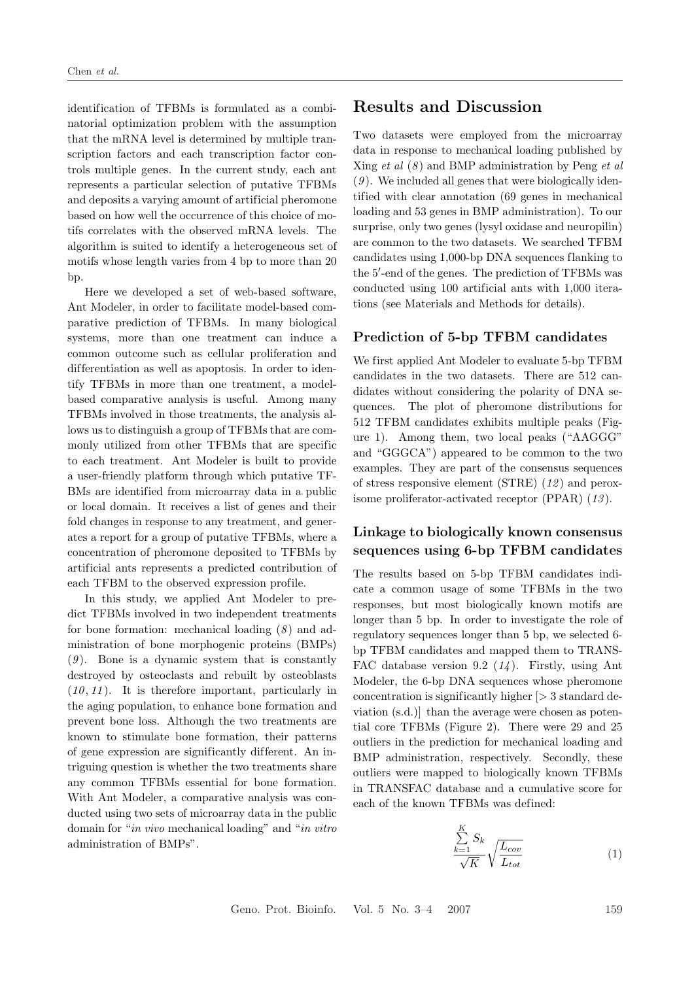identification of TFBMs is formulated as a combinatorial optimization problem with the assumption that the mRNA level is determined by multiple transcription factors and each transcription factor controls multiple genes. In the current study, each ant represents a particular selection of putative TFBMs and deposits a varying amount of artificial pheromone based on how well the occurrence of this choice of motifs correlates with the observed mRNA levels. The algorithm is suited to identify a heterogeneous set of motifs whose length varies from 4 bp to more than 20 bp.

Here we developed a set of web-based software, Ant Modeler, in order to facilitate model-based comparative prediction of TFBMs. In many biological systems, more than one treatment can induce a common outcome such as cellular proliferation and differentiation as well as apoptosis. In order to identify TFBMs in more than one treatment, a modelbased comparative analysis is useful. Among many TFBMs involved in those treatments, the analysis allows us to distinguish a group of TFBMs that are commonly utilized from other TFBMs that are specific to each treatment. Ant Modeler is built to provide a user-friendly platform through which putative TF-BMs are identified from microarray data in a public or local domain. It receives a list of genes and their fold changes in response to any treatment, and generates a report for a group of putative TFBMs, where a concentration of pheromone deposited to TFBMs by artificial ants represents a predicted contribution of each TFBM to the observed expression profile.

In this study, we applied Ant Modeler to predict TFBMs involved in two independent treatments for bone formation: mechanical loading (*8* ) and administration of bone morphogenic proteins (BMPs) (*9* ). Bone is a dynamic system that is constantly destroyed by osteoclasts and rebuilt by osteoblasts (*10* , *11* ). It is therefore important, particularly in the aging population, to enhance bone formation and prevent bone loss. Although the two treatments are known to stimulate bone formation, their patterns of gene expression are significantly dif ferent. An intriguing question is whether the two treatments share any common TFBMs essential for bone formation. With Ant Modeler, a comparative analysis was conducted using two sets of microarray data in the public domain for "*in vivo* mechanical loading" and "*in vitro* administration of BMPs".

### **Results and Discussion**

Two datasets were employed from the microarray data in response to mechanical loading published by Xing *et al* (*8* ) and BMP administration by Peng *et al* (*9* ). We included all genes that were biologically identified with clear annotation (69 genes in mechanical loading and 53 genes in BMP administration). To our surprise, only two genes (lysyl oxidase and neuropilin) are common to the two datasets. We searched TFBM candidates using 1,000-bp DNA sequences flanking to the 5'-end of the genes. The prediction of TFBMs was conducted using 100 artificial ants with 1,000 iterations (see Materials and Methods for details).

#### **Prediction of 5-bp TFBM candidates**

We first applied Ant Modeler to evaluate 5-bp TFBM candidates in the two datasets. There are 512 candidates without considering the polarity of DNA sequences. The plot of pheromone distributions for 512 TFBM candidates exhibits multiple peaks (Figure 1). Among them, two local peaks ("AAGGG" and "GGGCA") appeared to be common to the two examples. They are part of the consensus sequences of stress responsive element (STRE) (*12* ) and peroxisome proliferator-activated receptor (PPAR) (*13* ).

#### **Linkage to biologically known consensus sequences using 6-bp TFBM candidates**

The results based on 5-bp TFBM candidates indicate a common usage of some TFBMs in the two responses, but most biologically known motifs are longer than 5 bp. In order to investigate the role of regulatory sequences longer than 5 bp, we selected 6 bp TFBM candidates and mapped them to TRANS-FAC database version 9.2 (*14* ). Firstly, using Ant Modeler, the 6-bp DNA sequences whose pheromone concentration is significantly higher  $\geq 3$  standard deviation (s.d.)] than the average were chosen as potential core TFBMs (Figure 2). There were 29 and 25 outliers in the prediction for mechanical loading and BMP administration, respectively. Secondly, these outliers were mapped to biologically known TFBMs in TRANSFAC database and a cumulative score for each of the known TFBMs was defined:

$$
\frac{\sum_{k=1}^{K} S_k}{\sqrt{K}} \sqrt{\frac{L_{cov}}{L_{tot}}} \tag{1}
$$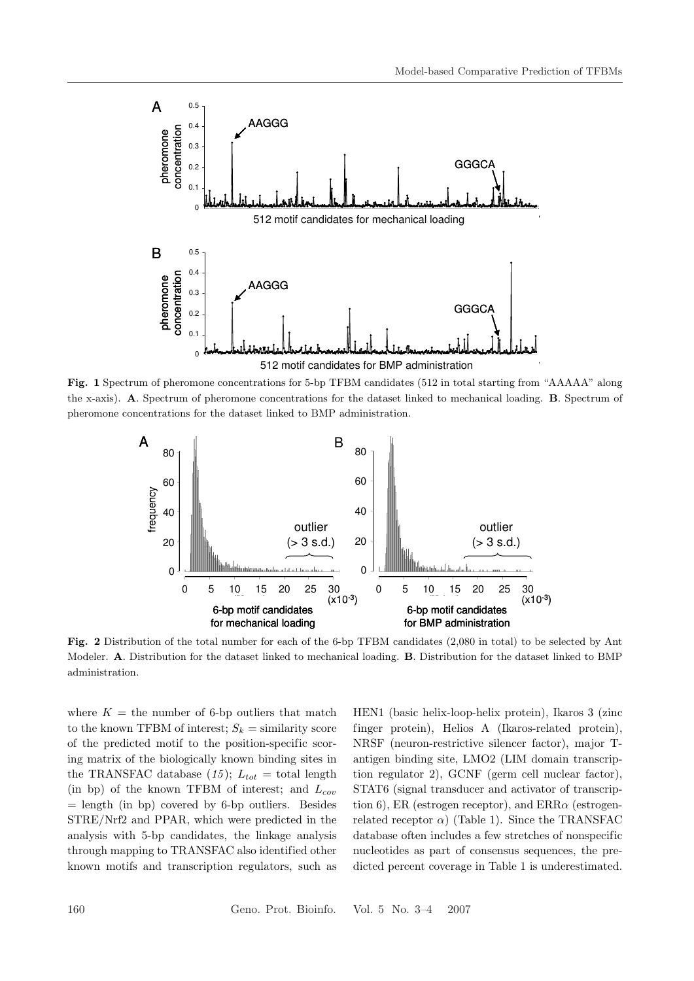

**Fig. 1** Spectrum of pheromone concentrations for 5-bp TFBM candidates (512 in total starting from "AAAAA" along the x-axis). **A**. Spectrum of pheromone concentrations for the dataset linked to mechanical loading. **B**. Spectrum of pheromone concentrations for the dataset linked to BMP administration.



**Fig. 2** Distribution of the total number for each of the 6-bp TFBM candidates (2,080 in total) to be selected by Ant Modeler. **A**. Distribution for the dataset linked to mechanical loading. **B**. Distribution for the dataset linked to BMP administration.

where  $K =$  the number of 6-bp outliers that match to the known TFBM of interest;  $S_k =$  similarity score of the predicted motif to the position-specific scoring matrix of the biologically known binding sites in the TRANSFAC database  $(15)$ ;  $L_{tot}$  = total length (in bp) of the known TFBM of interest; and  $L_{cov}$  $=$  length (in bp) covered by 6-bp outliers. Besides STRE/Nrf2 and PPAR, which were predicted in the analysis with 5-bp candidates, the linkage analysis through mapping to TRANSFAC also identified other known motifs and transcription regulators, such as

HEN1 (basic helix-loop-helix protein), Ikaros 3 (zinc finger protein), Helios A (Ikaros-related protein), NRSF (neuron-restrictive silencer factor), major Tantigen binding site, LMO2 (LIM domain transcription regulator 2), GCNF (germ cell nuclear factor), STAT6 (signal transducer and activator of transcription 6), ER (estrogen receptor), and  $ERR\alpha$  (estrogenrelated receptor  $\alpha$ ) (Table 1). Since the TRANSFAC database often includes a few stretches of nonspecific nucleotides as part of consensus sequences, the predicted percent coverage in Table 1 is underestimated.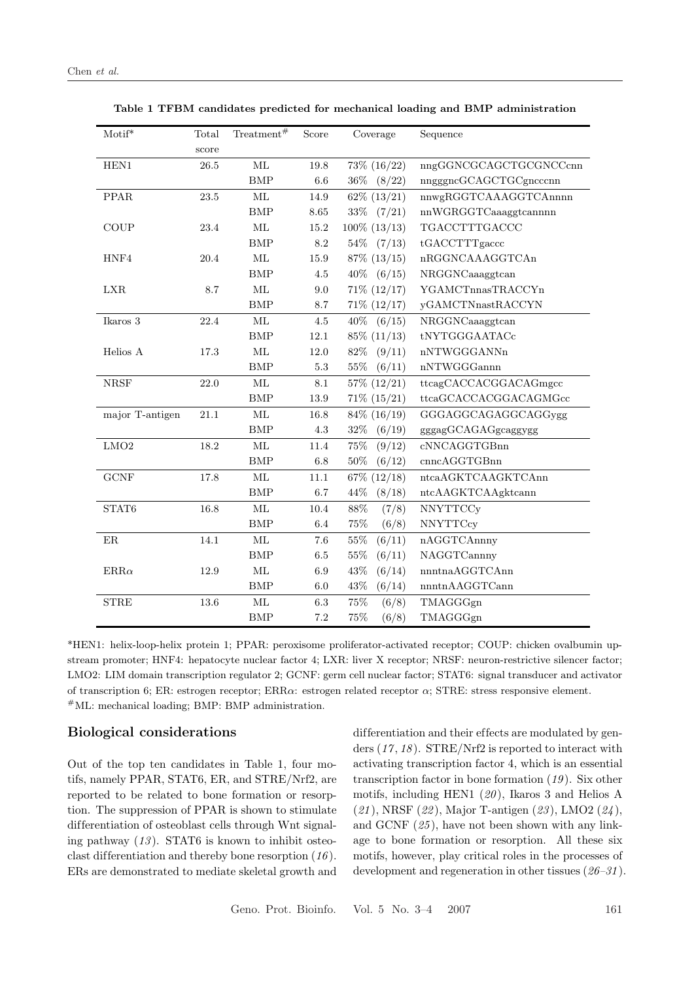| Motif*                 | Total    | Treatment# | Score           | Coverage          | Sequence                      |
|------------------------|----------|------------|-----------------|-------------------|-------------------------------|
|                        | score    |            |                 |                   |                               |
| HEN1                   | $26.5\,$ | ML         | 19.8            | 73% (16/22)       | nngGGNCGCAGCTGCGNCCcnn        |
|                        |          | <b>BMP</b> | 6.6             | $36\%$<br>(8/22)  | nngggncGCAGCTGCgncccnn        |
| <b>PPAR</b>            | 23.5     | ML         | 14.9            | $62\%$ $(13/21)$  | nnwgRGGTCAAAGGTCAnnnn         |
|                        |          | <b>BMP</b> | 8.65            | $33\%$ $(7/21)$   | nnWGRGGTCaaaggtcannnn         |
| COUP                   | 23.4     | ML         | 15.2            | $100\%$ $(13/13)$ | TGACCTTTGACCC                 |
|                        |          | <b>BMP</b> | $\!\!\!\!\!8.2$ | $54\%$ $(7/13)$   | tGACCTTTgaccc                 |
| HNF4                   | 20.4     | ML         | 15.9            | 87% (13/15)       | nRGGNCAAAGGTCAn               |
|                        |          | <b>BMP</b> | 4.5             | $40\%$<br>(6/15)  | NRGGNCaaaggtcan               |
| <b>LXR</b>             | 8.7      | ML         | 9.0             | $71\%$ $(12/17)$  | YGAMCTnnasTRACCYn             |
|                        |          | <b>BMP</b> | 8.7             | 71% (12/17)       | yGAMCTNnastRACCYN             |
| Ikaros 3               | 22.4     | ML         | $4.5\,$         | 40%<br>(6/15)     | NRGGNCaaaggtcan               |
|                        |          | <b>BMP</b> | 12.1            | 85\% (11/13)      | tNYTGGGAATACc                 |
| Helios A               | 17.3     | ML         | 12.0            | 82%<br>(9/11)     | nNTWGGGANNn                   |
|                        |          | <b>BMP</b> | $5.3\,$         | $55\%$<br>(6/11)  | nNTWGGGannn                   |
| ${\rm NRSF}$           | $22.0\,$ | ML         | 8.1             | 57% (12/21)       | ttcagCACCACGGACAGmgcc         |
|                        |          | <b>BMP</b> | 13.9            | $71\%$ $(15/21)$  | ${\rm tteaGCACCACGGACAGMGcc}$ |
| major T-antigen        | 21.1     | ML         | 16.8            | 84\% (16/19)      | GGGAGGCAGAGGCAGGygg           |
|                        |          | <b>BMP</b> | 4.3             | $32\%$<br>(6/19)  | gggagGCAGAGgcaggygg           |
| ${\rm LMO2}$           | 18.2     | ML         | 11.4            | 75%<br>(9/12)     | cNNCAGGTGBnn                  |
|                        |          | <b>BMP</b> | 6.8             | 50%<br>(6/12)     | cnncAGGTGBnn                  |
| <b>GCNF</b>            | 17.8     | ML         | 11.1            | 67% (12/18)       | ntcaAGKTCAAGKTCAnn            |
|                        |          | <b>BMP</b> | 6.7             | 44%<br>(8/18)     | ntcAAGKTCAAgktcann            |
| $\operatorname{STAT6}$ | 16.8     | $\rm ML$   | 10.4            | $88\%$<br>(7/8)   | <b>NNYTTCCy</b>               |
|                        |          | <b>BMP</b> | 6.4             | 75%<br>(6/8)      | <b>NNYTTCcy</b>               |
| $\rm ER$               | 14.1     | ML         | 7.6             | $55\%$<br>(6/11)  | nAGGTCAnnny                   |
|                        |          | <b>BMP</b> | $6.5\,$         | 55%<br>(6/11)     | NAGGTCannny                   |
| $\mathrm{ERR}\alpha$   | 12.9     | $\rm ML$   | $6.9\,$         | 43%<br>(6/14)     | nnntnaAGGTCAnn                |
|                        |          | BMP        | 6.0             | 43%<br>(6/14)     | nnntnAAGGTCann                |
| <b>STRE</b>            | 13.6     | ML         | $6.3\,$         | 75%<br>(6/8)      | TMAGGGgn                      |
|                        |          | <b>BMP</b> | 7.2             | 75%<br>(6/8)      | TMAGGGgn                      |

**Table 1 TFBM candidates predicted for mechanical loading and BMP administration**

\*HEN1: helix-loop-helix protein 1; PPAR: peroxisome proliferator-activated receptor; COUP: chicken ovalbumin upstream promoter; HNF4: hepatocyte nuclear factor 4; LXR: liver X receptor; NRSF: neuron-restrictive silencer factor; LMO2: LIM domain transcription regulator 2; GCNF: germ cell nuclear factor; STAT6: signal transducer and activator of transcription 6; ER: estrogen receptor; ERRα: estrogen related receptor α; STRE: stress responsive element.  $*$ ML: mechanical loading; BMP: BMP administration.

#### **Biological considerations**

Out of the top ten candidates in Table 1, four motifs, namely PPAR, STAT6, ER, and STRE/Nrf2, are reported to be related to bone formation or resorption. The suppression of PPAR is shown to stimulate differentiation of osteoblast cells through Wnt signaling pathway (*13* ). STAT6 is known to inhibit osteoclast dif ferentiation and thereby bone resorption (*16* ). ERs are demonstrated to mediate skeletal growth and

differentiation and their effects are modulated by genders (*17* , *18* ). STRE/Nrf2 is reported to interact with activating transcription factor 4, which is an essential transcription factor in bone formation (*19* ). Six other motifs, including HEN1 (*20* ), Ikaros 3 and Helios A (*21* ), NRSF (*22* ), Major T-antigen (*23* ), LMO2 (*24* ), and GCNF (*25* ), have not been shown with any linkage to bone formation or resorption. All these six motifs, however, play critical roles in the processes of development and regeneration in other tissues (*26–31* ).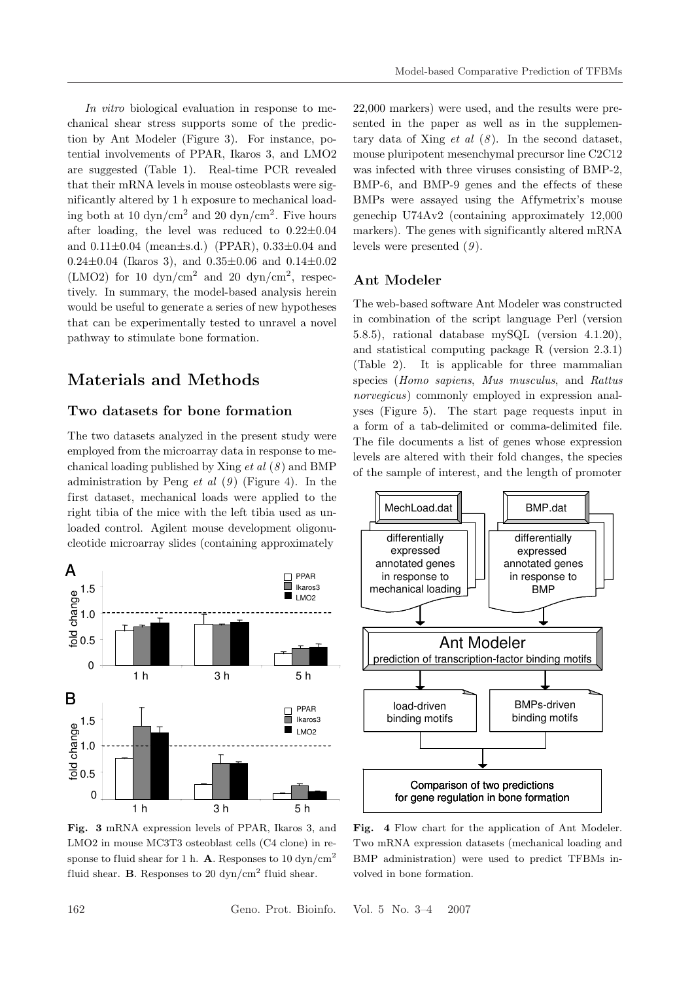*In vitro* biological evaluation in response to mechanical shear stress supports some of the prediction by Ant Modeler (Figure 3). For instance, potential involvements of PPAR, Ikaros 3, and LMO2 are suggested (Table 1). Real-time PCR revealed that their mRNA levels in mouse osteoblasts were significantly altered by 1 h exposure to mechanical loading both at 10 dyn/cm<sup>2</sup> and 20 dyn/cm<sup>2</sup>. Five hours after loading, the level was reduced to  $0.22\pm0.04$ and  $0.11\pm0.04$  (mean $\pm$ s.d.) (PPAR),  $0.33\pm0.04$  and 0.24 $\pm$ 0.04 (Ikaros 3), and 0.35 $\pm$ 0.06 and 0.14 $\pm$ 0.02  $(LMO2)$  for 10 dyn/cm<sup>2</sup> and 20 dyn/cm<sup>2</sup>, respectively. In summary, the model-based analysis herein would be useful to generate a series of new hypotheses that can be experimentally tested to unravel a novel pathway to stimulate bone formation.

# **Materials and Methods**

# **Two datasets for bone formation**

The two datasets analyzed in the present study were employed from the microarray data in response to mechanical loading published by Xing *et al* (*8* ) and BMP administration by Peng *et al* (*9* ) (Figure 4). In the first dataset, mechanical loads were applied to the right tibia of the mice with the left tibia used as unloaded control. Agilent mouse development oligonucleotide microarray slides (containing approximately



**Fig. 3** mRNA expression levels of PPAR, Ikaros 3, and LMO2 in mouse MC3T3 osteoblast cells (C4 clone) in response to fluid shear for 1 h. A. Responses to  $10 \text{ dyn/cm}^2$ fluid shear. **B**. Responses to 20  $\frac{dyn}{cm^2}$  fluid shear.

22,000 markers) were used, and the results were presented in the paper as well as in the supplementary data of Xing *et al* (*8* ). In the second dataset, mouse pluripotent mesenchymal precursor line C2C12 was infected with three viruses consisting of BMP-2, BMP-6, and BMP-9 genes and the effects of these BMPs were assayed using the Affymetrix's mouse genechip U74Av2 (containing approximately 12,000 markers). The genes with significantly altered mRNA levels were presented (*9* ).

# **Ant Modeler**

The web-based software Ant Modeler was constructed in combination of the script language Perl (version 5.8.5), rational database mySQL (version 4.1.20), and statistical computing package R (version 2.3.1) (Table 2). It is applicable for three mammalian species (*Homo sapiens*, *Mus musculus*, and *Rattus norvegicus*) commonly employed in expression analyses (Figure 5). The start page requests input in a form of a tab-delimited or comma-delimited file. The file documents a list of genes whose expression levels are altered with their fold changes, the species of the sample of interest, and the length of promoter



**Fig. 4** Flow chart for the application of Ant Modeler. Two mRNA expression datasets (mechanical loading and BMP administration) were used to predict TFBMs involved in bone formation.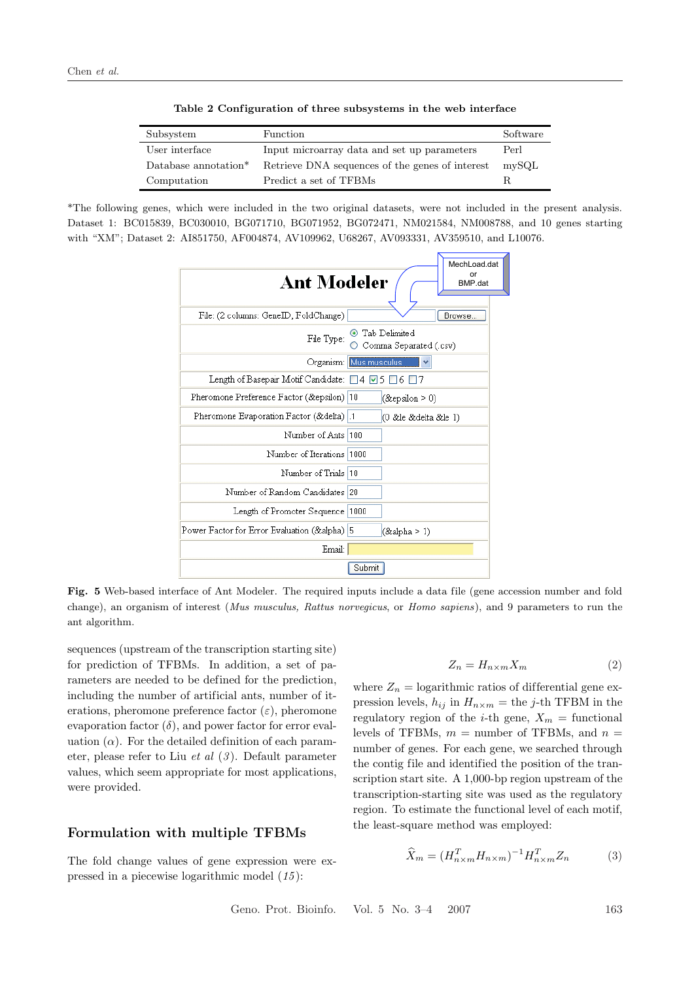| Subsystem                        | Function                                        | Software |
|----------------------------------|-------------------------------------------------|----------|
| User interface                   | Input microarray data and set up parameters     | Perl     |
| Database annotation <sup>*</sup> | Retrieve DNA sequences of the genes of interest | mySQL    |
| Computation                      | Predict a set of TFBMs                          | В        |

Table 2 Configuration of three subsystems in the web interface

\*The following genes, which were included in the two original datasets, were not included in the present analysis. Dataset 1: BC015839, BC030010, BG071710, BG071952, BG072471, NM021584, NM008788, and 10 genes starting with "XM"; Dataset 2: AI851750, AF004874, AV109962, U68267, AV093331, AV359510, and L10076.



**Fig. 5** Web-based interface of Ant Modeler. The required inputs include a data file (gene accession number and fold change), an organism of interest (*Mus musculus, Rattus norvegicus*, or *Homo sapiens*), and 9 parameters to run the ant algorithm.

sequences (upstream of the transcription starting site) for prediction of TFBMs. In addition, a set of parameters are needed to be defined for the prediction, including the number of artificial ants, number of iterations, pheromone preference factor  $(\varepsilon)$ , pheromone evaporation factor  $(\delta)$ , and power factor for error evaluation  $(\alpha)$ . For the detailed definition of each parameter, please refer to Liu *et al* (*3* ). Default parameter values, which seem appropriate for most applications, were provided.

#### **Formulation with multiple TFBMs**

The fold change values of gene expression were expressed in a piecewise logarithmic model (*15* ):

$$
Z_n = H_{n \times m} X_m \tag{2}
$$

where  $Z_n =$  logarithmic ratios of differential gene expression levels,  $h_{ij}$  in  $H_{n \times m}$  = the j-th TFBM in the regulatory region of the *i*-th gene,  $X_m$  = functional levels of TFBMs,  $m =$  number of TFBMs, and  $n =$ number of genes. For each gene, we searched through the contig file and identified the position of the transcription start site. A 1,000-bp region upstream of the transcription-starting site was used as the regulatory region. To estimate the functional level of each motif, the least-square method was employed:

$$
\widehat{X}_m = (H_{n \times m}^T H_{n \times m})^{-1} H_{n \times m}^T Z_n \tag{3}
$$

Geno. Prot. Bioinfo. Vol. 5 No. 3–4 2007 163

Vol. 5 No. 
$$
3-4
$$
 2007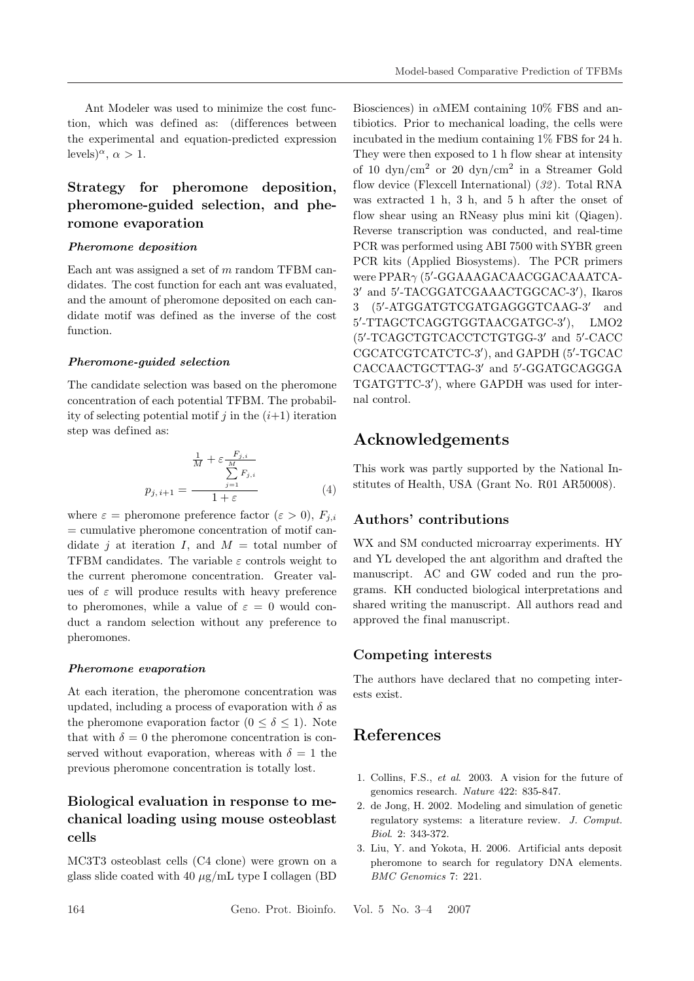Ant Modeler was used to minimize the cost function, which was defined as: (differences between the experimental and equation-predicted expression levels)<sup> $\alpha$ </sup>,  $\alpha > 1$ .

### **Strategy for pheromone deposition, pheromone-guided selection, and pheromone evaporation**

#### *Pheromone deposition*

Each ant was assigned a set of  $m$  random TFBM candidates. The cost function for each ant was evaluated, and the amount of pheromone deposited on each candidate motif was defined as the inverse of the cost function.

#### *Pheromone-guided selection*

The candidate selection was based on the pheromone concentration of each potential TFBM. The probability of selecting potential motif j in the  $(i+1)$  iteration step was defined as:

$$
p_{j,i+1} = \frac{\frac{1}{M} + \varepsilon \frac{F_{j,i}}{M}}{\sum_{j=1}^{j=1} F_{j,i}}
$$
\n
$$
p_{j,i+1} = \frac{1}{1+\varepsilon}
$$
\n
$$
(4)
$$

where  $\varepsilon$  = pheromone preference factor ( $\varepsilon > 0$ ),  $F_{j,i}$ = cumulative pheromone concentration of motif candidate j at iteration I, and  $M =$  total number of TFBM candidates. The variable  $\varepsilon$  controls weight to the current pheromone concentration. Greater values of  $\varepsilon$  will produce results with heavy preference to pheromones, while a value of  $\varepsilon = 0$  would conduct a random selection without any preference to pheromones.

#### *Pheromone evaporation*

At each iteration, the pheromone concentration was updated, including a process of evaporation with  $\delta$  as the pheromone evaporation factor  $(0 \le \delta \le 1)$ . Note that with  $\delta = 0$  the pheromone concentration is conserved without evaporation, whereas with  $\delta = 1$  the previous pheromone concentration is totally lost.

### **Biological evaluation in response to mechanical loading using mouse osteoblast cells**

MC3T3 osteoblast cells (C4 clone) were grown on a glass slide coated with 40  $\mu$ g/mL type I collagen (BD

Biosciences) in  $\alpha$ MEM containing 10% FBS and antibiotics. Prior to mechanical loading, the cells were incubated in the medium containing 1% FBS for 24 h. They were then exposed to 1 h flow shear at intensity of 10 dyn/cm<sup>2</sup> or 20 dyn/cm<sup>2</sup> in a Streamer Gold flow device (Flexcell International) (*32* ). Total RNA was extracted 1 h, 3 h, and 5 h after the onset of flow shear using an RNeasy plus mini kit (Qiagen). Reverse transcription was conducted, and real-time PCR was performed using ABI 7500 with SYBR green PCR kits (Applied Biosystems). The PCR primers were  $\text{PPAR}\gamma$  (5'-GGAAAGACAACGGACAAATCA-3 and 5 -TACGGATCGAAACTGGCAC-3 ), Ikaros 3 (5 -ATGGATGTCGATGAGGGTCAAG-3 and 5 -TTAGCTCAGGTGGTAACGATGC-3 ), LMO2 (5 -TCAGCTGTCACCTCTGTGG-3 and 5 -CACC CGCATCGTCATCTC-3'), and GAPDH (5'-TGCAC CACCAACTGCTTAG-3' and 5'-GGATGCAGGGA TGATGTTC-3 ), where GAPDH was used for internal control.

### **Acknowledgements**

This work was partly supported by the National Institutes of Health, USA (Grant No. R01 AR50008).

#### **Authors' contributions**

WX and SM conducted microarray experiments. HY and YL developed the ant algorithm and drafted the manuscript. AC and GW coded and run the programs. KH conducted biological interpretations and shared writing the manuscript. All authors read and approved the final manuscript.

#### **Competing interests**

The authors have declared that no competing interests exist.

#### **References**

- 1. Collins, F.S., *et al*. 2003. A vision for the future of genomics research. *Nature* 422: 835-847.
- 2. de Jong, H. 2002. Modeling and simulation of genetic regulatory systems: a literature review. *J. Comput. Biol*. 2: 343-372.
- 3. Liu, Y. and Yokota, H. 2006. Artificial ants deposit pheromone to search for regulatory DNA elements. *BMC Genomics* 7: 221.